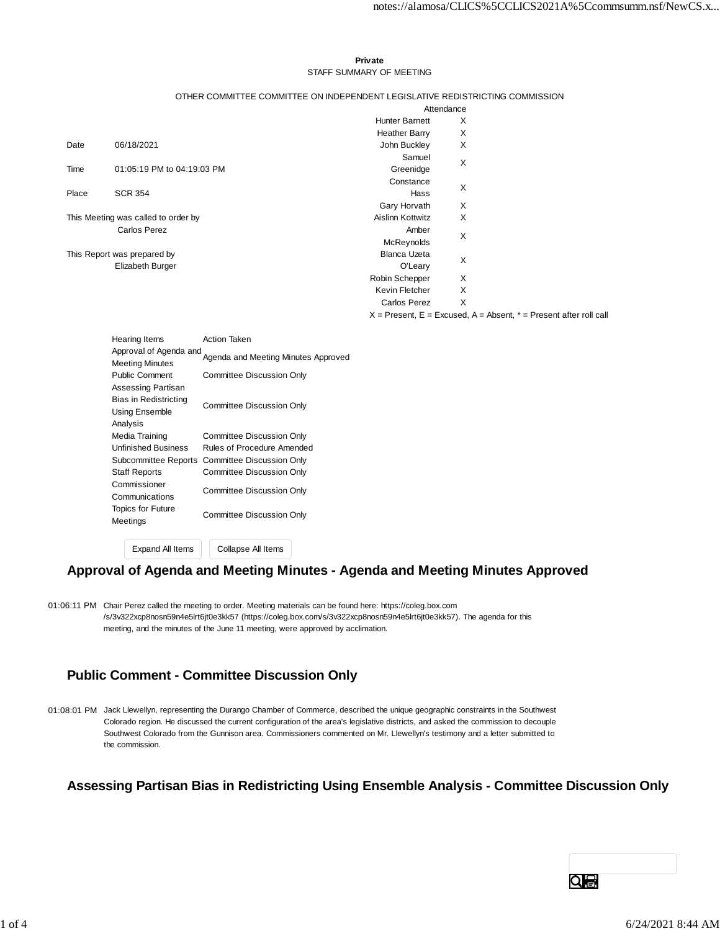#### **Private** STAFF SUMMARY OF MEETING

#### OTHER COMMITTEE COMMITTEE ON INDEPENDENT LEGISLATIVE REDISTRICTING COMMISSION

|                                     |                            | Attendance            |                                                                           |  |  |
|-------------------------------------|----------------------------|-----------------------|---------------------------------------------------------------------------|--|--|
|                                     |                            | <b>Hunter Barnett</b> | Х                                                                         |  |  |
|                                     |                            | <b>Heather Barry</b>  | X                                                                         |  |  |
| Date                                | 06/18/2021                 | John Buckley          | Χ                                                                         |  |  |
|                                     |                            | Samuel                | Χ                                                                         |  |  |
| Time                                | 01:05:19 PM to 04:19:03 PM | Greenidge             |                                                                           |  |  |
|                                     |                            | Constance             | Χ                                                                         |  |  |
| Place                               | <b>SCR 354</b>             | Hass                  |                                                                           |  |  |
|                                     |                            | Gary Horvath          | X                                                                         |  |  |
| This Meeting was called to order by |                            | Aislinn Kottwitz      | X                                                                         |  |  |
| <b>Carlos Perez</b>                 |                            | Amber                 | Χ                                                                         |  |  |
|                                     |                            | McReynolds            |                                                                           |  |  |
| This Report was prepared by         |                            | <b>Blanca Uzeta</b>   | Χ                                                                         |  |  |
|                                     | Elizabeth Burger           | O'Leary               |                                                                           |  |  |
|                                     |                            | Robin Schepper        | X                                                                         |  |  |
|                                     |                            | Kevin Fletcher        | X                                                                         |  |  |
|                                     |                            | Carlos Perez          | X                                                                         |  |  |
|                                     |                            |                       | $X =$ Present, $E =$ Excused, $A =$ Absent, $* =$ Present after roll call |  |  |

|                       | Hearing Items                                    | Action Taken                        |  |  |  |  |  |
|-----------------------|--------------------------------------------------|-------------------------------------|--|--|--|--|--|
|                       | Approval of Agenda and<br><b>Meeting Minutes</b> | Agenda and Meeting Minutes Approved |  |  |  |  |  |
|                       | <b>Public Comment</b>                            | Committee Discussion Only           |  |  |  |  |  |
|                       | Assessing Partisan                               |                                     |  |  |  |  |  |
| Bias in Redistricting |                                                  | <b>Committee Discussion Only</b>    |  |  |  |  |  |
|                       | Using Ensemble                                   |                                     |  |  |  |  |  |
|                       | Analysis                                         |                                     |  |  |  |  |  |
|                       | Media Training                                   | <b>Committee Discussion Only</b>    |  |  |  |  |  |
|                       | <b>Unfinished Business</b>                       | Rules of Procedure Amended          |  |  |  |  |  |
|                       | Subcommittee Reports                             | Committee Discussion Only           |  |  |  |  |  |
|                       | <b>Staff Reports</b>                             | Committee Discussion Only           |  |  |  |  |  |
|                       | Commissioner<br>Communications                   | <b>Committee Discussion Only</b>    |  |  |  |  |  |
|                       | <b>Topics for Future</b><br>Meetings             | <b>Committee Discussion Only</b>    |  |  |  |  |  |
|                       |                                                  |                                     |  |  |  |  |  |
|                       | <b>Expand All Items</b>                          | Collapse All Items                  |  |  |  |  |  |

### **Approval of Agenda and Meeting Minutes - Agenda and Meeting Minutes Approved**

01:06:11 PM Chair Perez called the meeting to order. Meeting materials can be found here: https://coleg.box.com /s/3v322xcp8nosn59n4e5lrt6jt0e3kk57 (https://coleg.box.com/s/3v322xcp8nosn59n4e5lrt6jt0e3kk57). The agenda for this meeting, and the minutes of the June 11 meeting, were approved by acclimation.

### **Public Comment - Committee Discussion Only**

01:08:01 PM Jack Llewellyn, representing the Durango Chamber of Commerce, described the unique geographic constraints in the Southwest Colorado region. He discussed the current configuration of the area's legislative districts, and asked the commission to decouple Southwest Colorado from the Gunnison area. Commissioners commented on Mr. Llewellyn's testimony and a letter submitted to the commission.

### **Assessing Partisan Bias in Redistricting Using Ensemble Analysis - Committee Discussion Only**

Qe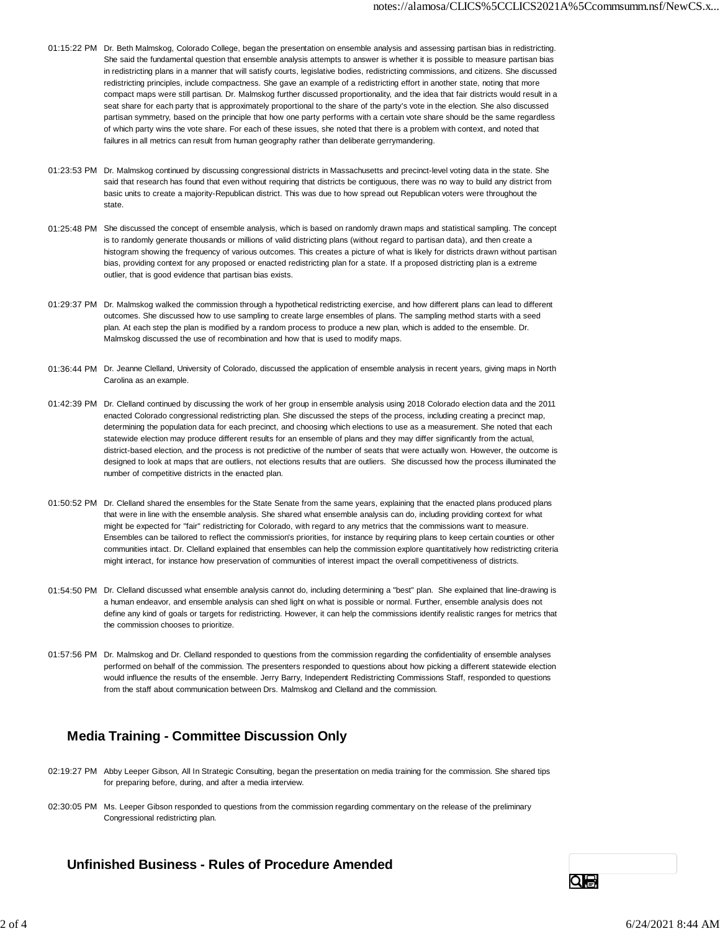- 01:15:22 PM Dr. Beth Malmskog, Colorado College, began the presentation on ensemble analysis and assessing partisan bias in redistricting. She said the fundamental question that ensemble analysis attempts to answer is whether it is possible to measure partisan bias in redistricting plans in a manner that will satisfy courts, legislative bodies, redistricting commissions, and citizens. She discussed redistricting principles, include compactness. She gave an example of a redistricting effort in another state, noting that more compact maps were still partisan. Dr. Malmskog further discussed proportionality, and the idea that fair districts would result in a seat share for each party that is approximately proportional to the share of the party's vote in the election. She also discussed partisan symmetry, based on the principle that how one party performs with a certain vote share should be the same regardless of which party wins the vote share. For each of these issues, she noted that there is a problem with context, and noted that failures in all metrics can result from human geography rather than deliberate gerrymandering.
- 01:23:53 PM Dr. Malmskog continued by discussing congressional districts in Massachusetts and precinct-level voting data in the state. She said that research has found that even without requiring that districts be contiguous, there was no way to build any district from basic units to create a majority-Republican district. This was due to how spread out Republican voters were throughout the state.
- 01:25:48 PM She discussed the concept of ensemble analysis, which is based on randomly drawn maps and statistical sampling. The concept is to randomly generate thousands or millions of valid districting plans (without regard to partisan data), and then create a histogram showing the frequency of various outcomes. This creates a picture of what is likely for districts drawn without partisan bias, providing context for any proposed or enacted redistricting plan for a state. If a proposed districting plan is a extreme outlier, that is good evidence that partisan bias exists.
- 01:29:37 PM Dr. Malmskog walked the commission through a hypothetical redistricting exercise, and how different plans can lead to different outcomes. She discussed how to use sampling to create large ensembles of plans. The sampling method starts with a seed plan. At each step the plan is modified by a random process to produce a new plan, which is added to the ensemble. Dr. Malmskog discussed the use of recombination and how that is used to modify maps.
- 01:36:44 PM Dr. Jeanne Clelland, University of Colorado, discussed the application of ensemble analysis in recent years, giving maps in North Carolina as an example.
- 01:42:39 PM Dr. Clelland continued by discussing the work of her group in ensemble analysis using 2018 Colorado election data and the 2011 enacted Colorado congressional redistricting plan. She discussed the steps of the process, including creating a precinct map, determining the population data for each precinct, and choosing which elections to use as a measurement. She noted that each statewide election may produce different results for an ensemble of plans and they may differ significantly from the actual, district-based election, and the process is not predictive of the number of seats that were actually won. However, the outcome is designed to look at maps that are outliers, not elections results that are outliers. She discussed how the process illuminated the number of competitive districts in the enacted plan.
- 01:50:52 PM Dr. Clelland shared the ensembles for the State Senate from the same years, explaining that the enacted plans produced plans that were in line with the ensemble analysis. She shared what ensemble analysis can do, including providing context for what might be expected for "fair" redistricting for Colorado, with regard to any metrics that the commissions want to measure. Ensembles can be tailored to reflect the commission's priorities, for instance by requiring plans to keep certain counties or other communities intact. Dr. Clelland explained that ensembles can help the commission explore quantitatively how redistricting criteria might interact, for instance how preservation of communities of interest impact the overall competitiveness of districts.
- 01:54:50 PM Dr. Clelland discussed what ensemble analysis cannot do, including determining a "best" plan. She explained that line-drawing is a human endeavor, and ensemble analysis can shed light on what is possible or normal. Further, ensemble analysis does not define any kind of goals or targets for redistricting. However, it can help the commissions identify realistic ranges for metrics that the commission chooses to prioritize.
- 01:57:56 PM Dr. Malmskog and Dr. Clelland responded to questions from the commission regarding the confidentiality of ensemble analyses performed on behalf of the commission. The presenters responded to questions about how picking a different statewide election would influence the results of the ensemble. Jerry Barry, Independent Redistricting Commissions Staff, responded to questions from the staff about communication between Drs. Malmskog and Clelland and the commission.

# **Media Training - Committee Discussion Only**

- 02:19:27 PM Abby Leeper Gibson, All In Strategic Consulting, began the presentation on media training for the commission. She shared tips for preparing before, during, and after a media interview.
- 02:30:05 PM Ms. Leeper Gibson responded to questions from the commission regarding commentary on the release of the preliminary Congressional redistricting plan.

#### **Unfinished Business - Rules of Procedure Amended**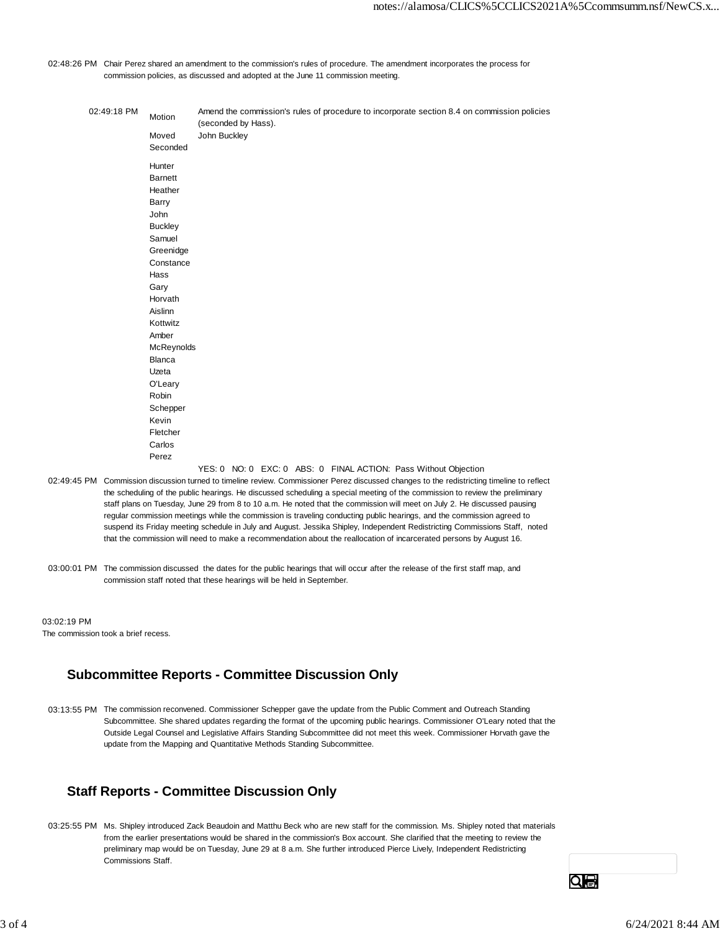02:48:26 PM Chair Perez shared an amendment to the commission's rules of procedure. The amendment incorporates the process for commission policies, as discussed and adopted at the June 11 commission meeting.

| 02:49:18 PM                                                                                                                                | Motion                                                                                                                                                                                                                                                                         | Amend the commission's rules of procedure to incorporate section 8.4 on commission policies<br>(seconded by Hass). |  |  |  |  |  |                                                                 |  |  |
|--------------------------------------------------------------------------------------------------------------------------------------------|--------------------------------------------------------------------------------------------------------------------------------------------------------------------------------------------------------------------------------------------------------------------------------|--------------------------------------------------------------------------------------------------------------------|--|--|--|--|--|-----------------------------------------------------------------|--|--|
|                                                                                                                                            | Moved<br>Seconded                                                                                                                                                                                                                                                              | John Buckley                                                                                                       |  |  |  |  |  |                                                                 |  |  |
|                                                                                                                                            | Hunter<br><b>Barnett</b><br>Heather<br>Barry<br>John<br><b>Buckley</b><br>Samuel<br>Greenidge<br>Constance<br>Hass<br>Gary<br>Horvath<br>Aislinn<br>Kottwitz<br>Amber<br>McReynolds<br>Blanca<br>Uzeta<br>O'Leary<br>Robin<br>Schepper<br>Kevin<br>Fletcher<br>Carlos<br>Perez |                                                                                                                    |  |  |  |  |  |                                                                 |  |  |
| 02:49:45 PM Commission discussion turned to timeline review. Commissioner Perez discussed changes to the redistricting timeline to reflect |                                                                                                                                                                                                                                                                                |                                                                                                                    |  |  |  |  |  | YES: 0 NO: 0 EXC: 0 ABS: 0 FINAL ACTION: Pass Without Objection |  |  |
|                                                                                                                                            | the scheduling of the public hearings. He discussed scheduling a special meeting of the commission to review the preliminary                                                                                                                                                   |                                                                                                                    |  |  |  |  |  |                                                                 |  |  |

the scheduling of the public hearings. He discussed scheduling a special meeting of the commission to review the preliminary staff plans on Tuesday, June 29 from 8 to 10 a.m. He noted that the commission will meet on July 2. He discussed pausing regular commission meetings while the commission is traveling conducting public hearings, and the commission agreed to suspend its Friday meeting schedule in July and August. Jessika Shipley, Independent Redistricting Commissions Staff, noted that the commission will need to make a recommendation about the reallocation of incarcerated persons by August 16.

03:00:01 PM The commission discussed the dates for the public hearings that will occur after the release of the first staff map, and commission staff noted that these hearings will be held in September.

03:02:19 PM The commission took a brief recess.

## **Subcommittee Reports - Committee Discussion Only**

03:13:55 PM The commission reconvened. Commissioner Schepper gave the update from the Public Comment and Outreach Standing Subcommittee. She shared updates regarding the format of the upcoming public hearings. Commissioner O'Leary noted that the Outside Legal Counsel and Legislative Affairs Standing Subcommittee did not meet this week. Commissioner Horvath gave the update from the Mapping and Quantitative Methods Standing Subcommittee.

## **Staff Reports - Committee Discussion Only**

03:25:55 PM Ms. Shipley introduced Zack Beaudoin and Matthu Beck who are new staff for the commission. Ms. Shipley noted that materials from the earlier presentations would be shared in the commission's Box account. She clarified that the meeting to review the preliminary map would be on Tuesday, June 29 at 8 a.m. She further introduced Pierce Lively, Independent Redistricting Commissions Staff.

Qe